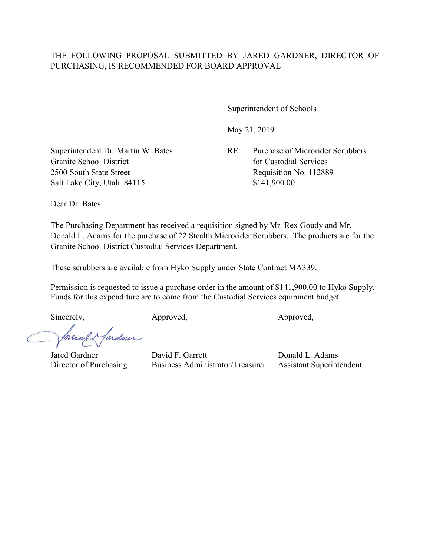Superintendent of Schools

May 21, 2019

 $\mathcal{L}_\mathcal{L}$ 

Superintendent Dr. Martin W. Bates RE: Purchase of Microrider Scrubbers Granite School District **for Custodial Services** for Custodial Services 2500 South State Street Requisition No. 112889 Salt Lake City, Utah 84115 \$141,900.00

Dear Dr. Bates:

The Purchasing Department has received a requisition signed by Mr. Rex Goudy and Mr. Donald L. Adams for the purchase of 22 Stealth Microrider Scrubbers. The products are for the Granite School District Custodial Services Department.

These scrubbers are available from Hyko Supply under State Contract MA339.

Permission is requested to issue a purchase order in the amount of \$141,900.00 to Hyko Supply. Funds for this expenditure are to come from the Custodial Services equipment budget.

Sincerely, Approved, Approved, Approved,

facely farden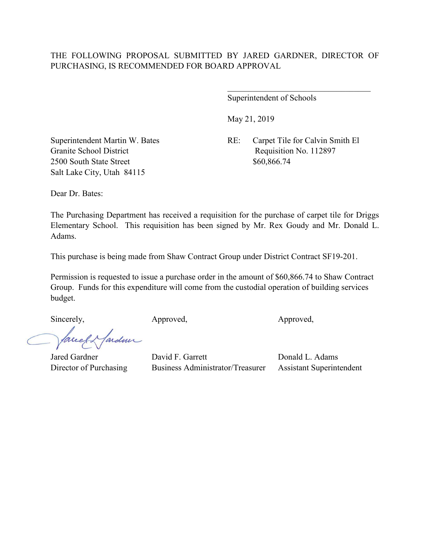Superintendent of Schools

May 21, 2019

Superintendent Martin W. Bates RE: Carpet Tile for Calvin Smith El Granite School District Requisition No. 112897

 $\overline{\phantom{a}}$ 

2500 South State Street \$60,866.74 Salt Lake City, Utah 84115

Dear Dr. Bates:

The Purchasing Department has received a requisition for the purchase of carpet tile for Driggs Elementary School. This requisition has been signed by Mr. Rex Goudy and Mr. Donald L. Adams.

This purchase is being made from Shaw Contract Group under District Contract SF19-201.

Permission is requested to issue a purchase order in the amount of \$60,866.74 to Shaw Contract Group. Funds for this expenditure will come from the custodial operation of building services budget.

Sincerely, Approved, Approved, Approved, Approved,

fardun meet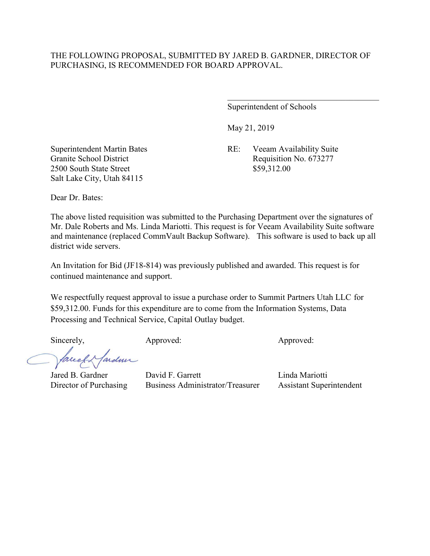Superintendent of Schools

May 21, 2019

Superintendent Martin Bates RE: Veeam Availability Suite Granite School District Requisition No. 673277

2500 South State Street \$59,312.00 Salt Lake City, Utah 84115

Dear Dr. Bates:

The above listed requisition was submitted to the Purchasing Department over the signatures of Mr. Dale Roberts and Ms. Linda Mariotti. This request is for Veeam Availability Suite software and maintenance (replaced CommVault Backup Software). This software is used to back up all district wide servers.

An Invitation for Bid (JF18-814) was previously published and awarded. This request is for continued maintenance and support.

We respectfully request approval to issue a purchase order to Summit Partners Utah LLC for \$59,312.00. Funds for this expenditure are to come from the Information Systems, Data Processing and Technical Service, Capital Outlay budget.

Sincerely, Approved: Approved: Approved: Approved:

ardmi Tareel

Jared B. Gardner David F. Garrett Linda Mariotti Director of Purchasing Business Administrator/Treasurer Assistant Superintendent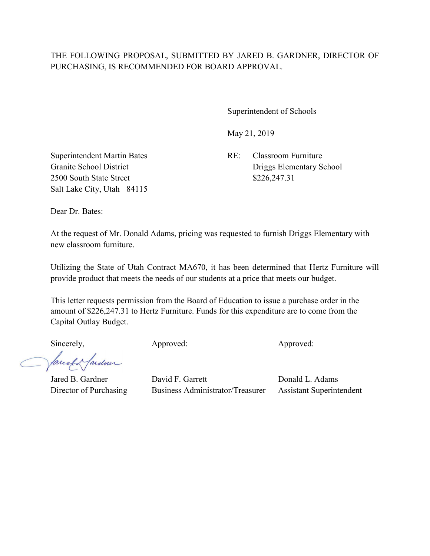Superintendent of Schools

May 21, 2019

Superintendent Martin Bates RE: Classroom Furniture 2500 South State Street \$226,247.31 Salt Lake City, Utah 84115

Granite School District Driggs Elementary School

Dear Dr. Bates:

At the request of Mr. Donald Adams, pricing was requested to furnish Driggs Elementary with new classroom furniture.

Utilizing the State of Utah Contract MA670, it has been determined that Hertz Furniture will provide product that meets the needs of our students at a price that meets our budget.

This letter requests permission from the Board of Education to issue a purchase order in the amount of \$226,247.31 to Hertz Furniture. Funds for this expenditure are to come from the Capital Outlay Budget.

facely farder

Sincerely, Approved: Approved: Approved: Approved: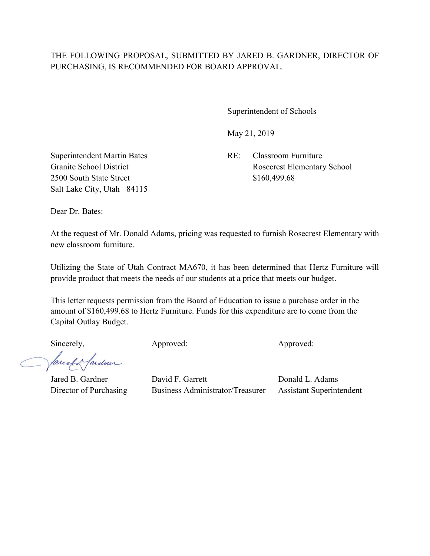$\overline{a}$ 

Superintendent of Schools

May 21, 2019

Superintendent Martin Bates RE: Classroom Furniture Granite School District Rosecrest Elementary School

2500 South State Street \$160,499.68 Salt Lake City, Utah 84115

Dear Dr. Bates:

At the request of Mr. Donald Adams, pricing was requested to furnish Rosecrest Elementary with new classroom furniture.

Utilizing the State of Utah Contract MA670, it has been determined that Hertz Furniture will provide product that meets the needs of our students at a price that meets our budget.

This letter requests permission from the Board of Education to issue a purchase order in the amount of \$160,499.68 to Hertz Furniture. Funds for this expenditure are to come from the Capital Outlay Budget.

facely farder

Sincerely, Approved: Approved: Approved: Approved: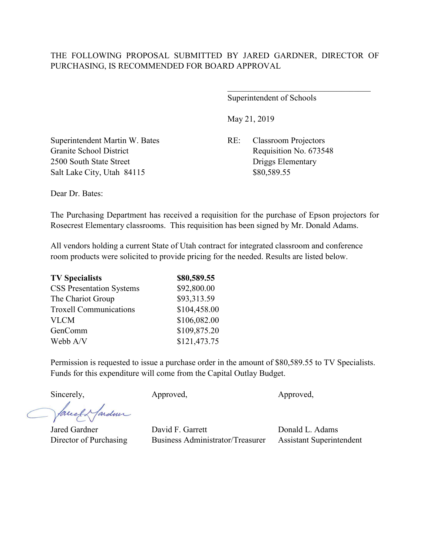Superintendent of Schools

 $\overline{\phantom{a}}$ 

May 21, 2019

Superintendent Martin W. Bates RE: Classroom Projectors Granite School District Requisition No. 673548 2500 South State Street Driggs Elementary Salt Lake City, Utah 84115 \$80,589.55

Dear Dr. Bates:

The Purchasing Department has received a requisition for the purchase of Epson projectors for Rosecrest Elementary classrooms. This requisition has been signed by Mr. Donald Adams.

All vendors holding a current State of Utah contract for integrated classroom and conference room products were solicited to provide pricing for the needed. Results are listed below.

| \$80,589.55  |
|--------------|
| \$92,800.00  |
| \$93,313.59  |
| \$104,458.00 |
| \$106,082.00 |
| \$109,875.20 |
| \$121,473.75 |
|              |

Permission is requested to issue a purchase order in the amount of \$80,589.55 to TV Specialists. Funds for this expenditure will come from the Capital Outlay Budget.

facely farden

Sincerely, Approved, Approved, Approved, Approved,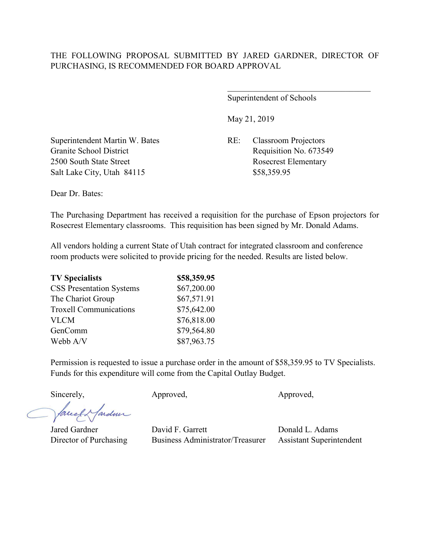Superintendent of Schools

 $\overline{\phantom{a}}$ 

May 21, 2019

Superintendent Martin W. Bates RE: Classroom Projectors Granite School District Requisition No. 673549 2500 South State Street Rosecrest Elementary Salt Lake City, Utah 84115 \$58,359.95

Dear Dr. Bates:

The Purchasing Department has received a requisition for the purchase of Epson projectors for Rosecrest Elementary classrooms. This requisition has been signed by Mr. Donald Adams.

All vendors holding a current State of Utah contract for integrated classroom and conference room products were solicited to provide pricing for the needed. Results are listed below.

| \$58,359.95 |
|-------------|
| \$67,200.00 |
| \$67,571.91 |
| \$75,642.00 |
| \$76,818.00 |
| \$79,564.80 |
| \$87,963.75 |
|             |

Permission is requested to issue a purchase order in the amount of \$58,359.95 to TV Specialists. Funds for this expenditure will come from the Capital Outlay Budget.

facely farden

Sincerely, Approved, Approved, Approved, Approved,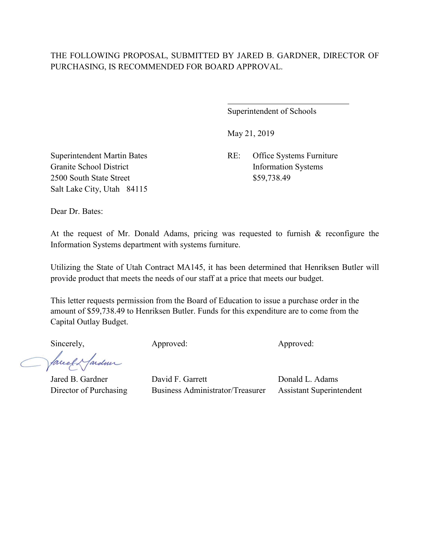$\overline{a}$ 

Superintendent of Schools

May 21, 2019

Superintendent Martin Bates RE: Office Systems Furniture Granite School District Information Systems

2500 South State Street \$59,738.49 Salt Lake City, Utah 84115

Dear Dr. Bates:

At the request of Mr. Donald Adams, pricing was requested to furnish & reconfigure the Information Systems department with systems furniture.

Utilizing the State of Utah Contract MA145, it has been determined that Henriksen Butler will provide product that meets the needs of our staff at a price that meets our budget.

This letter requests permission from the Board of Education to issue a purchase order in the amount of \$59,738.49 to Henriksen Butler. Funds for this expenditure are to come from the Capital Outlay Budget.

facely farder

Sincerely, Approved: Approved: Approved: Approved: